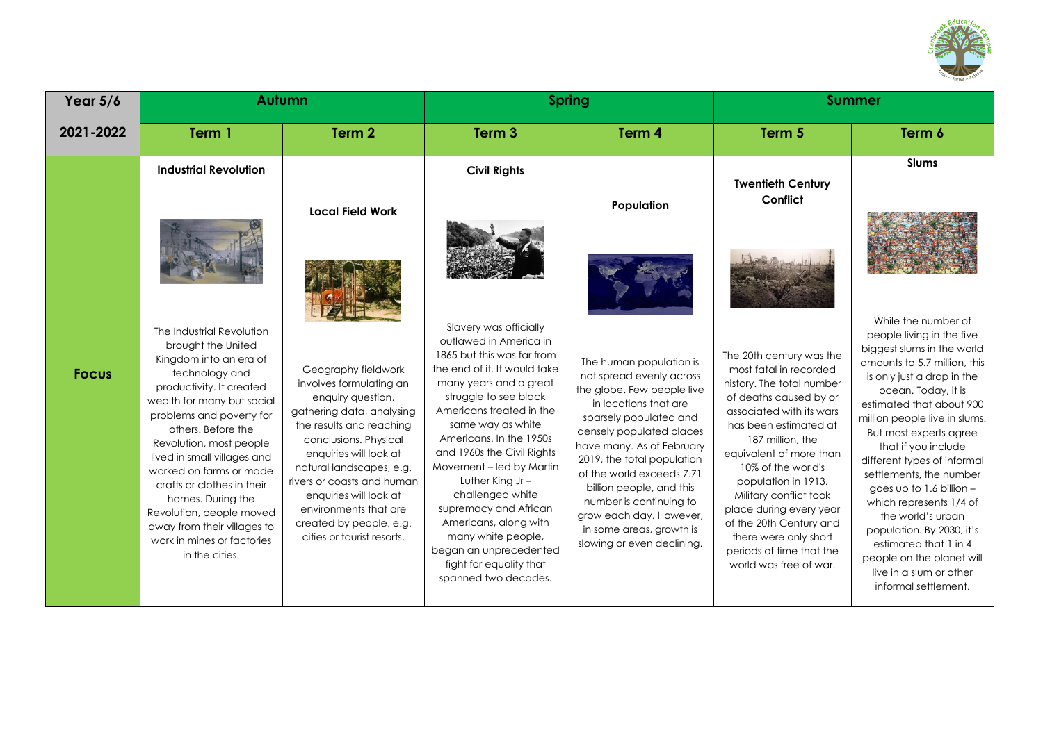

| Year $5/6$   |                                                                                                                                                                                                                                                                                                                                                                                                                                                            | Autumn                                                                                                                                                                                                                                                                                                                                                |                                                                                                                                                                                                                                                                                                                                                                                                                                                                                                        | <b>Spring</b>                                                                                                                                                                                                                                                                                                                                                                                        | <b>Summer</b>                                                                                                                                                                                                                                                                                                                                                                                                             |                                                                                                                                                                                                                                                                                                                                                                                                                                                                                                                                                                 |
|--------------|------------------------------------------------------------------------------------------------------------------------------------------------------------------------------------------------------------------------------------------------------------------------------------------------------------------------------------------------------------------------------------------------------------------------------------------------------------|-------------------------------------------------------------------------------------------------------------------------------------------------------------------------------------------------------------------------------------------------------------------------------------------------------------------------------------------------------|--------------------------------------------------------------------------------------------------------------------------------------------------------------------------------------------------------------------------------------------------------------------------------------------------------------------------------------------------------------------------------------------------------------------------------------------------------------------------------------------------------|------------------------------------------------------------------------------------------------------------------------------------------------------------------------------------------------------------------------------------------------------------------------------------------------------------------------------------------------------------------------------------------------------|---------------------------------------------------------------------------------------------------------------------------------------------------------------------------------------------------------------------------------------------------------------------------------------------------------------------------------------------------------------------------------------------------------------------------|-----------------------------------------------------------------------------------------------------------------------------------------------------------------------------------------------------------------------------------------------------------------------------------------------------------------------------------------------------------------------------------------------------------------------------------------------------------------------------------------------------------------------------------------------------------------|
| 2021-2022    | Term 1                                                                                                                                                                                                                                                                                                                                                                                                                                                     | Term <sub>2</sub>                                                                                                                                                                                                                                                                                                                                     | Term <sub>3</sub>                                                                                                                                                                                                                                                                                                                                                                                                                                                                                      | Term 4                                                                                                                                                                                                                                                                                                                                                                                               | Term 5                                                                                                                                                                                                                                                                                                                                                                                                                    | Term 6                                                                                                                                                                                                                                                                                                                                                                                                                                                                                                                                                          |
|              | <b>Industrial Revolution</b>                                                                                                                                                                                                                                                                                                                                                                                                                               | <b>Local Field Work</b>                                                                                                                                                                                                                                                                                                                               | <b>Civil Rights</b>                                                                                                                                                                                                                                                                                                                                                                                                                                                                                    | Population                                                                                                                                                                                                                                                                                                                                                                                           | <b>Twentieth Century</b><br>Conflict                                                                                                                                                                                                                                                                                                                                                                                      | <b>Slums</b>                                                                                                                                                                                                                                                                                                                                                                                                                                                                                                                                                    |
|              |                                                                                                                                                                                                                                                                                                                                                                                                                                                            |                                                                                                                                                                                                                                                                                                                                                       |                                                                                                                                                                                                                                                                                                                                                                                                                                                                                                        |                                                                                                                                                                                                                                                                                                                                                                                                      |                                                                                                                                                                                                                                                                                                                                                                                                                           |                                                                                                                                                                                                                                                                                                                                                                                                                                                                                                                                                                 |
| <b>Focus</b> | The Industrial Revolution<br>brought the United<br>Kingdom into an era of<br>technology and<br>productivity. It created<br>wealth for many but social<br>problems and poverty for<br>others. Before the<br>Revolution, most people<br>lived in small villages and<br>worked on farms or made<br>crafts or clothes in their<br>homes. During the<br>Revolution, people moved<br>away from their villages to<br>work in mines or factories<br>in the cities. | Geography fieldwork<br>involves formulating an<br>enquiry question,<br>gathering data, analysing<br>the results and reaching<br>conclusions. Physical<br>enquiries will look at<br>natural landscapes, e.g.<br>rivers or coasts and human<br>enquiries will look at<br>environments that are<br>created by people, e.g.<br>cities or tourist resorts. | Slavery was officially<br>outlawed in America in<br>1865 but this was far from<br>the end of it. It would take<br>many years and a great<br>struggle to see black<br>Americans treated in the<br>same way as white<br>Americans. In the 1950s<br>and 1960s the Civil Rights<br>Movement - led by Martin<br>Luther King $Jr -$<br>challenged white<br>supremacy and African<br>Americans, along with<br>many white people,<br>began an unprecedented<br>fight for equality that<br>spanned two decades. | The human population is<br>not spread evenly across<br>the globe. Few people live<br>in locations that are<br>sparsely populated and<br>densely populated places<br>have many. As of February<br>2019, the total population<br>of the world exceeds 7.71<br>billion people, and this<br>number is continuing to<br>grow each day. However,<br>in some areas, growth is<br>slowing or even declining. | The 20th century was the<br>most fatal in recorded<br>history. The total number<br>of deaths caused by or<br>associated with its wars<br>has been estimated at<br>187 million, the<br>equivalent of more than<br>10% of the world's<br>population in 1913.<br>Military conflict took<br>place during every year<br>of the 20th Century and<br>there were only short<br>periods of time that the<br>world was free of war. | While the number of<br>people living in the five<br>biggest slums in the world<br>amounts to 5.7 million, this<br>is only just a drop in the<br>ocean. Today, it is<br>estimated that about 900<br>million people live in slums.<br>But most experts agree<br>that if you include<br>different types of informal<br>settlements, the number<br>goes up to 1.6 billion $-$<br>which represents 1/4 of<br>the world's urban<br>population. By 2030, it's<br>estimated that 1 in 4<br>people on the planet will<br>live in a slum or other<br>informal settlement. |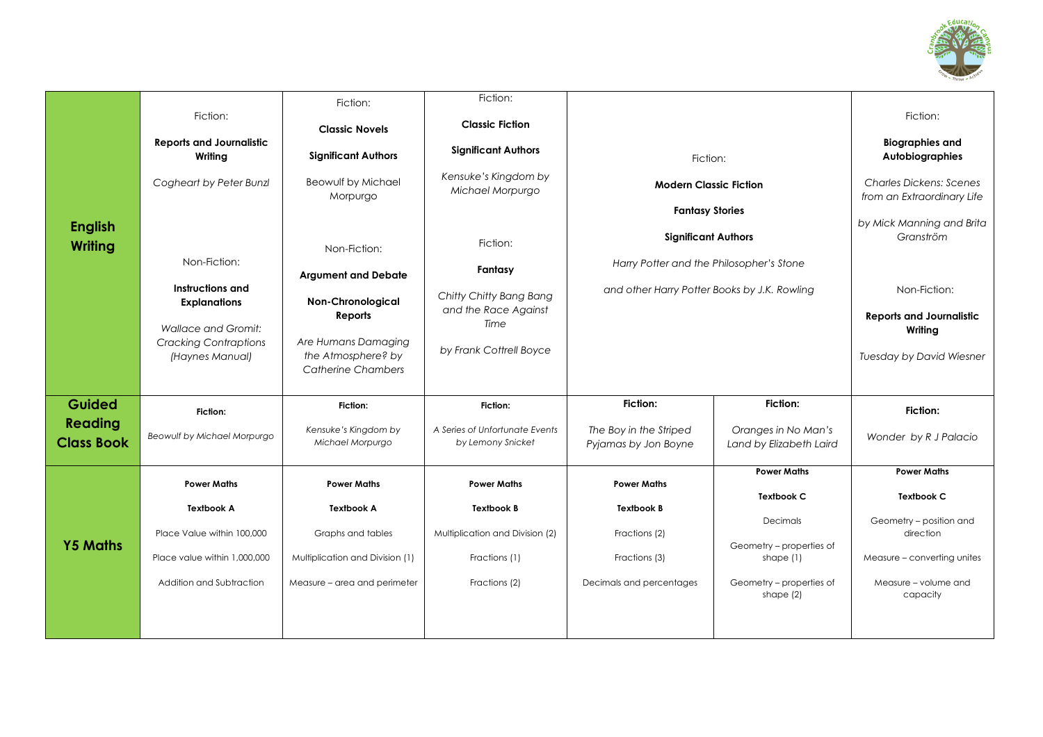

|                                     |                                                 | Fiction:                                  | Fiction:                                            |                                                |                                                |                                                              |
|-------------------------------------|-------------------------------------------------|-------------------------------------------|-----------------------------------------------------|------------------------------------------------|------------------------------------------------|--------------------------------------------------------------|
|                                     | Fiction:                                        | <b>Classic Novels</b>                     | <b>Classic Fiction</b>                              |                                                |                                                | Fiction:                                                     |
|                                     | <b>Reports and Journalistic</b><br>Writing      | <b>Significant Authors</b>                | <b>Significant Authors</b>                          | Fiction:                                       |                                                | <b>Biographies and</b><br>Autobiographies                    |
|                                     | Cogheart by Peter Bunzl                         | Beowulf by Michael<br>Morpurgo            | Kensuke's Kingdom by<br>Michael Morpurgo            | <b>Modern Classic Fiction</b>                  |                                                | <b>Charles Dickens: Scenes</b><br>from an Extraordinary Life |
|                                     |                                                 |                                           |                                                     | <b>Fantasy Stories</b>                         |                                                | by Mick Manning and Brita                                    |
| <b>English</b><br>Writing           |                                                 | Non-Fiction:                              | Fiction:                                            | <b>Significant Authors</b>                     |                                                | Granström                                                    |
|                                     | Non-Fiction:                                    | <b>Argument and Debate</b>                | Fantasy                                             | Harry Potter and the Philosopher's Stone       |                                                |                                                              |
|                                     | Instructions and<br><b>Explanations</b>         | <b>Non-Chronological</b>                  | Chitty Chitty Bang Bang                             | and other Harry Potter Books by J.K. Rowling   |                                                | Non-Fiction:                                                 |
|                                     | <b>Wallace and Gromit:</b>                      | Reports                                   | and the Race Against<br>Time                        |                                                |                                                | <b>Reports and Journalistic</b><br>Writing                   |
|                                     | <b>Cracking Contraptions</b><br>(Haynes Manual) | Are Humans Damaging<br>the Atmosphere? by | by Frank Cottrell Boyce                             |                                                |                                                | Tuesday by David Wiesner                                     |
|                                     |                                                 | <b>Catherine Chambers</b>                 |                                                     |                                                |                                                |                                                              |
| Guided                              | Fiction:                                        | Fiction:                                  | Fiction:                                            | <b>Fiction:</b>                                | Fiction:                                       | Fiction:                                                     |
| <b>Reading</b><br><b>Class Book</b> | <b>Beowulf by Michael Morpurgo</b>              | Kensuke's Kingdom by<br>Michael Morpurgo  | A Series of Unfortungte Events<br>by Lemony Snicket | The Boy in the Striped<br>Pyjamas by Jon Boyne | Oranges in No Man's<br>Land by Elizabeth Laird | Wonder by R J Palacio                                        |
|                                     |                                                 |                                           |                                                     |                                                | <b>Power Maths</b>                             | <b>Power Maths</b>                                           |
|                                     | <b>Power Maths</b>                              | <b>Power Maths</b>                        | <b>Power Maths</b>                                  | <b>Power Maths</b>                             | <b>Textbook C</b>                              | Textbook C                                                   |
|                                     | <b>Textbook A</b>                               | <b>Textbook A</b>                         | <b>Textbook B</b>                                   | <b>Textbook B</b>                              | Decimals                                       | Geometry - position and                                      |
| <b>Y5 Maths</b>                     | Place Value within 100,000                      | Graphs and tables                         | Multiplication and Division (2)                     | Fractions (2)                                  | Geometry - properties of                       | direction                                                    |
|                                     | Place value within 1,000,000                    | Multiplication and Division (1)           | Fractions (1)                                       | Fractions (3)                                  | shape $(1)$                                    | Measure - converting unites                                  |
|                                     | Addition and Subtraction                        | Measure - area and perimeter              | Fractions (2)                                       | Decimals and percentages                       | Geometry - properties of<br>shape $(2)$        | Measure - volume and<br>capacity                             |
|                                     |                                                 |                                           |                                                     |                                                |                                                |                                                              |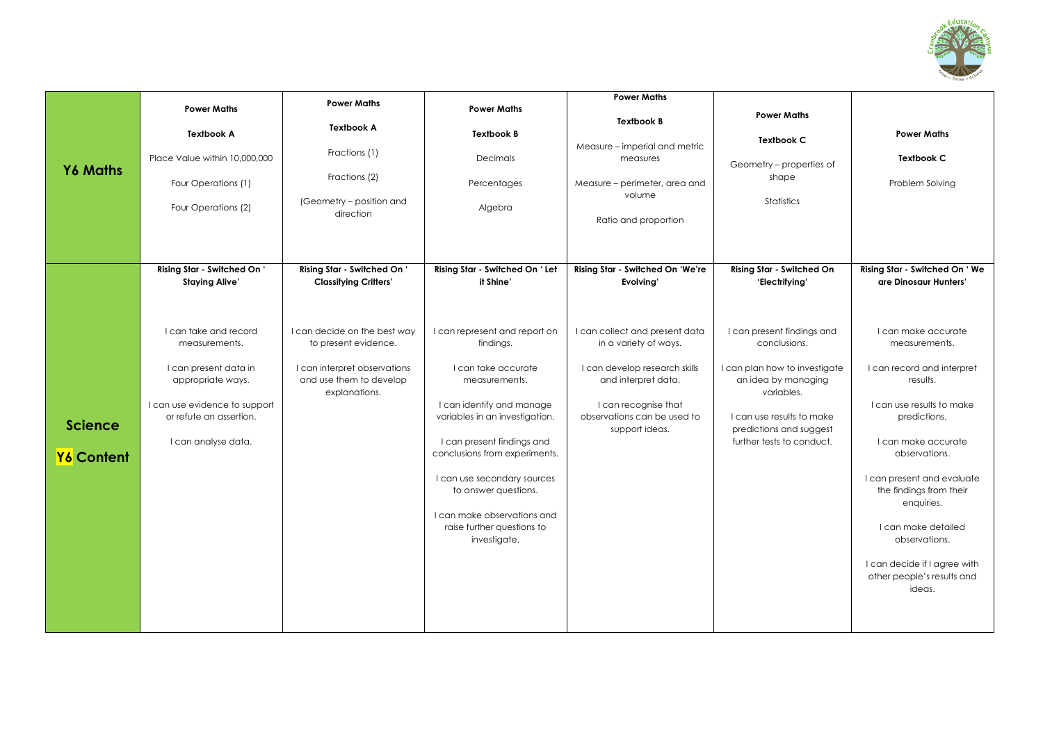

| <b>Y6 Maths</b>              | <b>Power Maths</b><br><b>Textbook A</b><br>Place Value within 10,000,000<br>Four Operations (1)<br>Four Operations (2)                                                                                                          | <b>Power Maths</b><br><b>Textbook A</b><br>Fractions (1)<br>Fractions (2)<br>(Geometry - position and<br>direction                                                                              | <b>Power Maths</b><br><b>Textbook B</b><br><b>Decimals</b><br>Percentages<br>Algebra                                                                                                                                                                                                                                                                                                                 | <b>Power Maths</b><br><b>Textbook B</b><br>Measure - imperial and metric<br>measures<br>Measure – perimeter, area and<br>volume<br>Ratio and proportion                                                                                   | <b>Power Maths</b><br><b>Textbook C</b><br>Geometry - properties of<br>shape<br>Statistics                                                                                                                                                           | <b>Power Maths</b><br><b>Textbook C</b><br>Problem Solving                                                                                                                                                                                                                                                                                                                                                            |
|------------------------------|---------------------------------------------------------------------------------------------------------------------------------------------------------------------------------------------------------------------------------|-------------------------------------------------------------------------------------------------------------------------------------------------------------------------------------------------|------------------------------------------------------------------------------------------------------------------------------------------------------------------------------------------------------------------------------------------------------------------------------------------------------------------------------------------------------------------------------------------------------|-------------------------------------------------------------------------------------------------------------------------------------------------------------------------------------------------------------------------------------------|------------------------------------------------------------------------------------------------------------------------------------------------------------------------------------------------------------------------------------------------------|-----------------------------------------------------------------------------------------------------------------------------------------------------------------------------------------------------------------------------------------------------------------------------------------------------------------------------------------------------------------------------------------------------------------------|
| <b>Science</b><br>Y6 Content | Rising Star - Switched On '<br><b>Staying Alive'</b><br>I can take and record<br>measurements.<br>I can present data in<br>appropriate ways.<br>I can use evidence to support<br>or refute an assertion.<br>I can analyse data. | Rising Star - Switched On '<br><b>Classifying Critters'</b><br>I can decide on the best way<br>to present evidence.<br>I can interpret observations<br>and use them to develop<br>explanations. | Rising Star - Switched On ' Let<br>it Shine'<br>I can represent and report on<br>findings.<br>I can take accurate<br>measurements.<br>I can identify and manage<br>variables in an investigation.<br>I can present findings and<br>conclusions from experiments.<br>I can use secondary sources<br>to answer questions.<br>I can make observations and<br>raise further questions to<br>investigate. | Rising Star - Switched On 'We're<br>Evolving'<br>I can collect and present data<br>in a variety of ways.<br>I can develop research skills<br>and interpret data.<br>I can recognise that<br>observations can be used to<br>support ideas. | Rising Star - Switched On<br>'Electrifying'<br>I can present findings and<br>conclusions.<br>I can plan how to investigate<br>an idea by managing<br>variables.<br>I can use results to make<br>predictions and suggest<br>further tests to conduct. | Rising Star - Switched On ' We<br>are Dinosaur Hunters'<br>I can make accurate<br>measurements.<br>I can record and interpret<br>results.<br>I can use results to make<br>predictions.<br>I can make accurate<br>observations.<br>I can present and evaluate<br>the findings from their<br>enquiries.<br>I can make detailed<br>observations.<br>I can decide if I agree with<br>other people's results and<br>ideas. |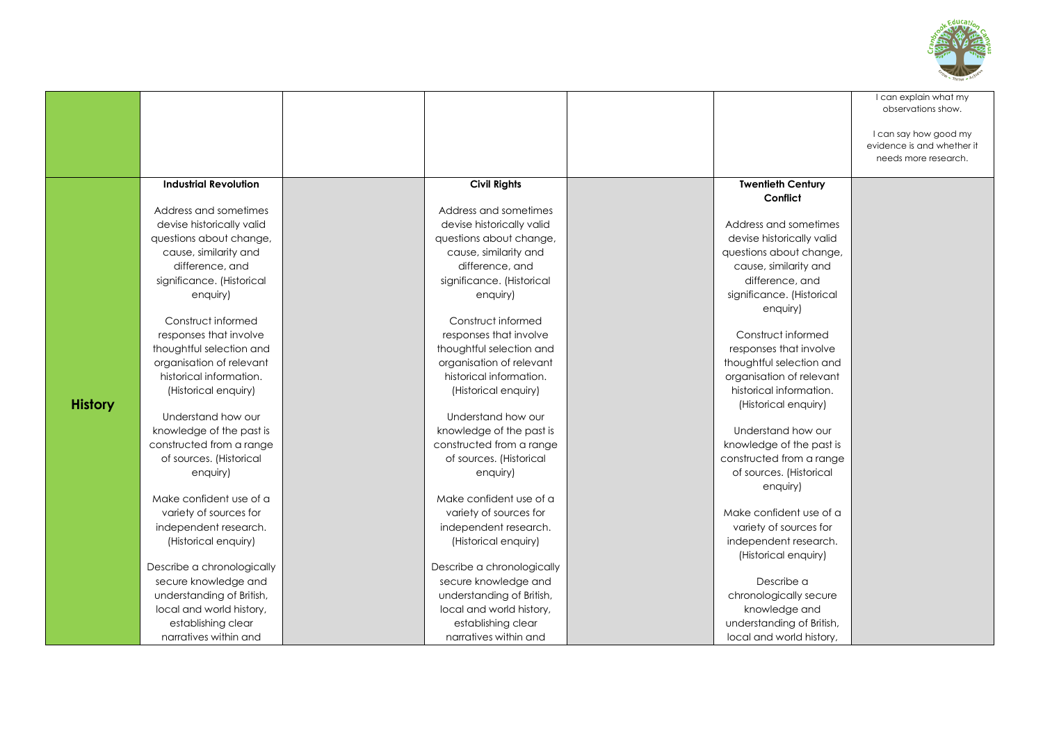

| <b>Industrial Revolution</b><br><b>Civil Rights</b><br><b>Twentieth Century</b><br>Conflict<br>Address and sometimes<br>Address and sometimes<br>devise historically valid<br>devise historically valid<br>Address and sometimes<br>devise historically valid<br>questions about change,<br>questions about change,<br>cause, similarity and<br>cause, similarity and<br>questions about change,<br>difference, and<br>difference, and<br>cause, similarity and<br>significance. (Historical<br>significance. (Historical<br>difference, and<br>significance. (Historical<br>enquiry)<br>enquiry)<br>enquiry)<br>Construct informed<br>Construct informed<br>Construct informed<br>responses that involve<br>responses that involve<br>thoughtful selection and<br>thoughtful selection and<br>responses that involve<br>organisation of relevant<br>organisation of relevant<br>thoughtful selection and<br>historical information.<br>historical information.<br>organisation of relevant<br>historical information.<br>(Historical enquiry)<br>(Historical enquiry)<br><b>History</b><br>(Historical enquiry)<br>Understand how our<br>Understand how our<br>Understand how our<br>knowledge of the past is<br>knowledge of the past is<br>knowledge of the past is<br>constructed from a range<br>constructed from a range<br>constructed from a range<br>of sources. (Historical<br>of sources. (Historical<br>of sources. (Historical<br>enquiry)<br>enquiry)<br>enquiry)<br>Make confident use of a<br>Make confident use of a<br>Make confident use of a<br>variety of sources for<br>variety of sources for<br>variety of sources for<br>independent research.<br>independent research.<br>(Historical enquiry)<br>(Historical enquiry)<br>independent research.<br>(Historical enquiry)<br>Describe a chronologically<br>Describe a chronologically<br>secure knowledge and<br>secure knowledge and<br>Describe a<br>chronologically secure<br>understanding of British,<br>understanding of British,<br>local and world history,<br>local and world history,<br>knowledge and<br>understanding of British,<br>establishing clear<br>establishing clear |                       |                       |                          | I can explain what my<br>observations show.<br>I can say how good my<br>evidence is and whether it<br>needs more research. |
|-------------------------------------------------------------------------------------------------------------------------------------------------------------------------------------------------------------------------------------------------------------------------------------------------------------------------------------------------------------------------------------------------------------------------------------------------------------------------------------------------------------------------------------------------------------------------------------------------------------------------------------------------------------------------------------------------------------------------------------------------------------------------------------------------------------------------------------------------------------------------------------------------------------------------------------------------------------------------------------------------------------------------------------------------------------------------------------------------------------------------------------------------------------------------------------------------------------------------------------------------------------------------------------------------------------------------------------------------------------------------------------------------------------------------------------------------------------------------------------------------------------------------------------------------------------------------------------------------------------------------------------------------------------------------------------------------------------------------------------------------------------------------------------------------------------------------------------------------------------------------------------------------------------------------------------------------------------------------------------------------------------------------------------------------------------------------------------------------------------------------------------------------------------------|-----------------------|-----------------------|--------------------------|----------------------------------------------------------------------------------------------------------------------------|
|                                                                                                                                                                                                                                                                                                                                                                                                                                                                                                                                                                                                                                                                                                                                                                                                                                                                                                                                                                                                                                                                                                                                                                                                                                                                                                                                                                                                                                                                                                                                                                                                                                                                                                                                                                                                                                                                                                                                                                                                                                                                                                                                                                   |                       |                       |                          |                                                                                                                            |
|                                                                                                                                                                                                                                                                                                                                                                                                                                                                                                                                                                                                                                                                                                                                                                                                                                                                                                                                                                                                                                                                                                                                                                                                                                                                                                                                                                                                                                                                                                                                                                                                                                                                                                                                                                                                                                                                                                                                                                                                                                                                                                                                                                   |                       |                       |                          |                                                                                                                            |
|                                                                                                                                                                                                                                                                                                                                                                                                                                                                                                                                                                                                                                                                                                                                                                                                                                                                                                                                                                                                                                                                                                                                                                                                                                                                                                                                                                                                                                                                                                                                                                                                                                                                                                                                                                                                                                                                                                                                                                                                                                                                                                                                                                   |                       |                       |                          |                                                                                                                            |
|                                                                                                                                                                                                                                                                                                                                                                                                                                                                                                                                                                                                                                                                                                                                                                                                                                                                                                                                                                                                                                                                                                                                                                                                                                                                                                                                                                                                                                                                                                                                                                                                                                                                                                                                                                                                                                                                                                                                                                                                                                                                                                                                                                   |                       |                       |                          |                                                                                                                            |
|                                                                                                                                                                                                                                                                                                                                                                                                                                                                                                                                                                                                                                                                                                                                                                                                                                                                                                                                                                                                                                                                                                                                                                                                                                                                                                                                                                                                                                                                                                                                                                                                                                                                                                                                                                                                                                                                                                                                                                                                                                                                                                                                                                   |                       |                       |                          |                                                                                                                            |
|                                                                                                                                                                                                                                                                                                                                                                                                                                                                                                                                                                                                                                                                                                                                                                                                                                                                                                                                                                                                                                                                                                                                                                                                                                                                                                                                                                                                                                                                                                                                                                                                                                                                                                                                                                                                                                                                                                                                                                                                                                                                                                                                                                   |                       |                       |                          |                                                                                                                            |
|                                                                                                                                                                                                                                                                                                                                                                                                                                                                                                                                                                                                                                                                                                                                                                                                                                                                                                                                                                                                                                                                                                                                                                                                                                                                                                                                                                                                                                                                                                                                                                                                                                                                                                                                                                                                                                                                                                                                                                                                                                                                                                                                                                   |                       |                       |                          |                                                                                                                            |
|                                                                                                                                                                                                                                                                                                                                                                                                                                                                                                                                                                                                                                                                                                                                                                                                                                                                                                                                                                                                                                                                                                                                                                                                                                                                                                                                                                                                                                                                                                                                                                                                                                                                                                                                                                                                                                                                                                                                                                                                                                                                                                                                                                   |                       |                       |                          |                                                                                                                            |
|                                                                                                                                                                                                                                                                                                                                                                                                                                                                                                                                                                                                                                                                                                                                                                                                                                                                                                                                                                                                                                                                                                                                                                                                                                                                                                                                                                                                                                                                                                                                                                                                                                                                                                                                                                                                                                                                                                                                                                                                                                                                                                                                                                   |                       |                       |                          |                                                                                                                            |
|                                                                                                                                                                                                                                                                                                                                                                                                                                                                                                                                                                                                                                                                                                                                                                                                                                                                                                                                                                                                                                                                                                                                                                                                                                                                                                                                                                                                                                                                                                                                                                                                                                                                                                                                                                                                                                                                                                                                                                                                                                                                                                                                                                   |                       |                       |                          |                                                                                                                            |
|                                                                                                                                                                                                                                                                                                                                                                                                                                                                                                                                                                                                                                                                                                                                                                                                                                                                                                                                                                                                                                                                                                                                                                                                                                                                                                                                                                                                                                                                                                                                                                                                                                                                                                                                                                                                                                                                                                                                                                                                                                                                                                                                                                   |                       |                       |                          |                                                                                                                            |
|                                                                                                                                                                                                                                                                                                                                                                                                                                                                                                                                                                                                                                                                                                                                                                                                                                                                                                                                                                                                                                                                                                                                                                                                                                                                                                                                                                                                                                                                                                                                                                                                                                                                                                                                                                                                                                                                                                                                                                                                                                                                                                                                                                   |                       |                       |                          |                                                                                                                            |
|                                                                                                                                                                                                                                                                                                                                                                                                                                                                                                                                                                                                                                                                                                                                                                                                                                                                                                                                                                                                                                                                                                                                                                                                                                                                                                                                                                                                                                                                                                                                                                                                                                                                                                                                                                                                                                                                                                                                                                                                                                                                                                                                                                   |                       |                       |                          |                                                                                                                            |
|                                                                                                                                                                                                                                                                                                                                                                                                                                                                                                                                                                                                                                                                                                                                                                                                                                                                                                                                                                                                                                                                                                                                                                                                                                                                                                                                                                                                                                                                                                                                                                                                                                                                                                                                                                                                                                                                                                                                                                                                                                                                                                                                                                   |                       |                       |                          |                                                                                                                            |
|                                                                                                                                                                                                                                                                                                                                                                                                                                                                                                                                                                                                                                                                                                                                                                                                                                                                                                                                                                                                                                                                                                                                                                                                                                                                                                                                                                                                                                                                                                                                                                                                                                                                                                                                                                                                                                                                                                                                                                                                                                                                                                                                                                   |                       |                       |                          |                                                                                                                            |
|                                                                                                                                                                                                                                                                                                                                                                                                                                                                                                                                                                                                                                                                                                                                                                                                                                                                                                                                                                                                                                                                                                                                                                                                                                                                                                                                                                                                                                                                                                                                                                                                                                                                                                                                                                                                                                                                                                                                                                                                                                                                                                                                                                   |                       |                       |                          |                                                                                                                            |
|                                                                                                                                                                                                                                                                                                                                                                                                                                                                                                                                                                                                                                                                                                                                                                                                                                                                                                                                                                                                                                                                                                                                                                                                                                                                                                                                                                                                                                                                                                                                                                                                                                                                                                                                                                                                                                                                                                                                                                                                                                                                                                                                                                   |                       |                       |                          |                                                                                                                            |
|                                                                                                                                                                                                                                                                                                                                                                                                                                                                                                                                                                                                                                                                                                                                                                                                                                                                                                                                                                                                                                                                                                                                                                                                                                                                                                                                                                                                                                                                                                                                                                                                                                                                                                                                                                                                                                                                                                                                                                                                                                                                                                                                                                   |                       |                       |                          |                                                                                                                            |
|                                                                                                                                                                                                                                                                                                                                                                                                                                                                                                                                                                                                                                                                                                                                                                                                                                                                                                                                                                                                                                                                                                                                                                                                                                                                                                                                                                                                                                                                                                                                                                                                                                                                                                                                                                                                                                                                                                                                                                                                                                                                                                                                                                   |                       |                       |                          |                                                                                                                            |
|                                                                                                                                                                                                                                                                                                                                                                                                                                                                                                                                                                                                                                                                                                                                                                                                                                                                                                                                                                                                                                                                                                                                                                                                                                                                                                                                                                                                                                                                                                                                                                                                                                                                                                                                                                                                                                                                                                                                                                                                                                                                                                                                                                   |                       |                       |                          |                                                                                                                            |
|                                                                                                                                                                                                                                                                                                                                                                                                                                                                                                                                                                                                                                                                                                                                                                                                                                                                                                                                                                                                                                                                                                                                                                                                                                                                                                                                                                                                                                                                                                                                                                                                                                                                                                                                                                                                                                                                                                                                                                                                                                                                                                                                                                   |                       |                       |                          |                                                                                                                            |
|                                                                                                                                                                                                                                                                                                                                                                                                                                                                                                                                                                                                                                                                                                                                                                                                                                                                                                                                                                                                                                                                                                                                                                                                                                                                                                                                                                                                                                                                                                                                                                                                                                                                                                                                                                                                                                                                                                                                                                                                                                                                                                                                                                   |                       |                       |                          |                                                                                                                            |
|                                                                                                                                                                                                                                                                                                                                                                                                                                                                                                                                                                                                                                                                                                                                                                                                                                                                                                                                                                                                                                                                                                                                                                                                                                                                                                                                                                                                                                                                                                                                                                                                                                                                                                                                                                                                                                                                                                                                                                                                                                                                                                                                                                   |                       |                       |                          |                                                                                                                            |
|                                                                                                                                                                                                                                                                                                                                                                                                                                                                                                                                                                                                                                                                                                                                                                                                                                                                                                                                                                                                                                                                                                                                                                                                                                                                                                                                                                                                                                                                                                                                                                                                                                                                                                                                                                                                                                                                                                                                                                                                                                                                                                                                                                   |                       |                       |                          |                                                                                                                            |
|                                                                                                                                                                                                                                                                                                                                                                                                                                                                                                                                                                                                                                                                                                                                                                                                                                                                                                                                                                                                                                                                                                                                                                                                                                                                                                                                                                                                                                                                                                                                                                                                                                                                                                                                                                                                                                                                                                                                                                                                                                                                                                                                                                   |                       |                       |                          |                                                                                                                            |
|                                                                                                                                                                                                                                                                                                                                                                                                                                                                                                                                                                                                                                                                                                                                                                                                                                                                                                                                                                                                                                                                                                                                                                                                                                                                                                                                                                                                                                                                                                                                                                                                                                                                                                                                                                                                                                                                                                                                                                                                                                                                                                                                                                   |                       |                       |                          |                                                                                                                            |
|                                                                                                                                                                                                                                                                                                                                                                                                                                                                                                                                                                                                                                                                                                                                                                                                                                                                                                                                                                                                                                                                                                                                                                                                                                                                                                                                                                                                                                                                                                                                                                                                                                                                                                                                                                                                                                                                                                                                                                                                                                                                                                                                                                   |                       |                       |                          |                                                                                                                            |
|                                                                                                                                                                                                                                                                                                                                                                                                                                                                                                                                                                                                                                                                                                                                                                                                                                                                                                                                                                                                                                                                                                                                                                                                                                                                                                                                                                                                                                                                                                                                                                                                                                                                                                                                                                                                                                                                                                                                                                                                                                                                                                                                                                   |                       |                       |                          |                                                                                                                            |
|                                                                                                                                                                                                                                                                                                                                                                                                                                                                                                                                                                                                                                                                                                                                                                                                                                                                                                                                                                                                                                                                                                                                                                                                                                                                                                                                                                                                                                                                                                                                                                                                                                                                                                                                                                                                                                                                                                                                                                                                                                                                                                                                                                   |                       |                       |                          |                                                                                                                            |
|                                                                                                                                                                                                                                                                                                                                                                                                                                                                                                                                                                                                                                                                                                                                                                                                                                                                                                                                                                                                                                                                                                                                                                                                                                                                                                                                                                                                                                                                                                                                                                                                                                                                                                                                                                                                                                                                                                                                                                                                                                                                                                                                                                   |                       |                       |                          |                                                                                                                            |
|                                                                                                                                                                                                                                                                                                                                                                                                                                                                                                                                                                                                                                                                                                                                                                                                                                                                                                                                                                                                                                                                                                                                                                                                                                                                                                                                                                                                                                                                                                                                                                                                                                                                                                                                                                                                                                                                                                                                                                                                                                                                                                                                                                   |                       |                       |                          |                                                                                                                            |
|                                                                                                                                                                                                                                                                                                                                                                                                                                                                                                                                                                                                                                                                                                                                                                                                                                                                                                                                                                                                                                                                                                                                                                                                                                                                                                                                                                                                                                                                                                                                                                                                                                                                                                                                                                                                                                                                                                                                                                                                                                                                                                                                                                   |                       |                       |                          |                                                                                                                            |
|                                                                                                                                                                                                                                                                                                                                                                                                                                                                                                                                                                                                                                                                                                                                                                                                                                                                                                                                                                                                                                                                                                                                                                                                                                                                                                                                                                                                                                                                                                                                                                                                                                                                                                                                                                                                                                                                                                                                                                                                                                                                                                                                                                   | narratives within and | narratives within and | local and world history, |                                                                                                                            |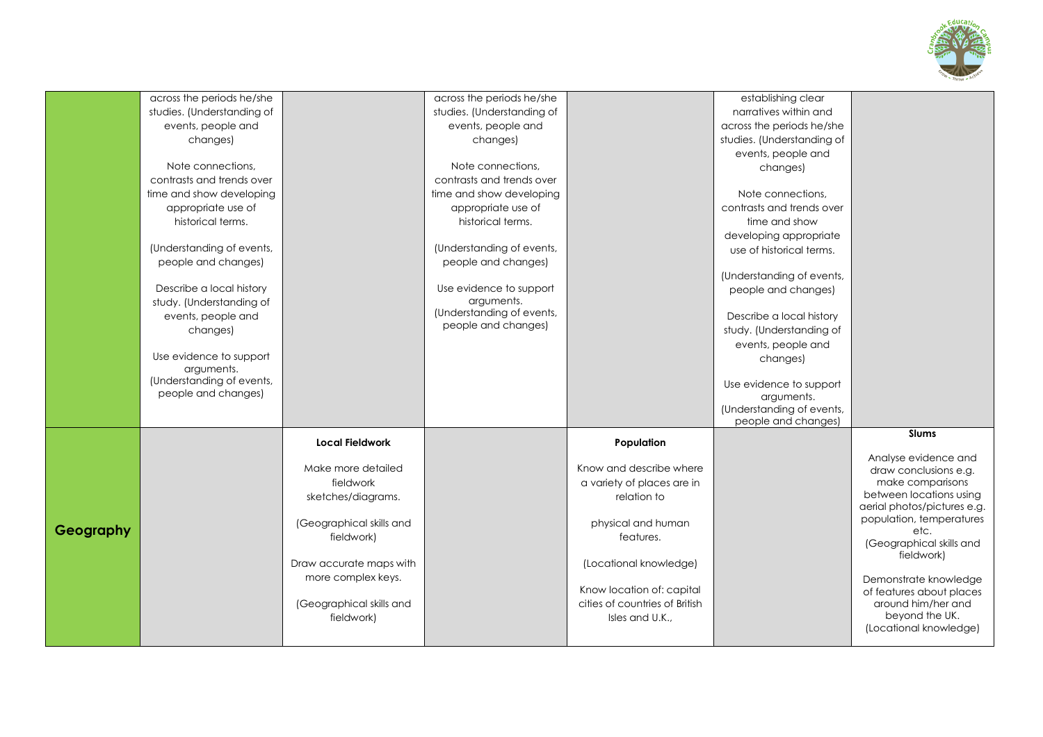

|           | across the periods he/she  |                          | across the periods he/she  |                                | establishing clear                    |                                                        |
|-----------|----------------------------|--------------------------|----------------------------|--------------------------------|---------------------------------------|--------------------------------------------------------|
|           | studies. (Understanding of |                          | studies. (Understanding of |                                | narratives within and                 |                                                        |
|           | events, people and         |                          | events, people and         |                                | across the periods he/she             |                                                        |
|           | changes)                   |                          | changes)                   |                                | studies. (Understanding of            |                                                        |
|           |                            |                          |                            |                                | events, people and                    |                                                        |
|           | Note connections.          |                          | Note connections.          |                                | changes)                              |                                                        |
|           | contrasts and trends over  |                          | contrasts and trends over  |                                |                                       |                                                        |
|           | time and show developing   |                          | time and show developing   |                                | Note connections.                     |                                                        |
|           | appropriate use of         |                          | appropriate use of         |                                | contrasts and trends over             |                                                        |
|           | historical terms.          |                          | historical terms.          |                                | time and show                         |                                                        |
|           |                            |                          |                            |                                | developing appropriate                |                                                        |
|           | (Understanding of events,  |                          | (Understanding of events,  |                                | use of historical terms.              |                                                        |
|           | people and changes)        |                          | people and changes)        |                                |                                       |                                                        |
|           |                            |                          |                            |                                | (Understanding of events,             |                                                        |
|           | Describe a local history   |                          | Use evidence to support    |                                | people and changes)                   |                                                        |
|           | study. (Understanding of   |                          | arguments.                 |                                |                                       |                                                        |
|           | events, people and         |                          | (Understanding of events,  |                                | Describe a local history              |                                                        |
|           | changes)                   |                          | people and changes)        |                                | study. (Understanding of              |                                                        |
|           |                            |                          |                            |                                | events, people and                    |                                                        |
|           | Use evidence to support    |                          |                            |                                |                                       |                                                        |
|           | arguments.                 |                          |                            |                                | changes)                              |                                                        |
|           | (Understanding of events,  |                          |                            |                                |                                       |                                                        |
|           | people and changes)        |                          |                            |                                | Use evidence to support<br>arguments. |                                                        |
|           |                            |                          |                            |                                | (Understanding of events,             |                                                        |
|           |                            |                          |                            |                                | people and changes)                   |                                                        |
|           |                            |                          |                            |                                |                                       | <b>Slums</b>                                           |
|           |                            | <b>Local Fieldwork</b>   |                            | Population                     |                                       |                                                        |
|           |                            |                          |                            |                                |                                       | Analyse evidence and                                   |
|           |                            | Make more detailed       |                            | Know and describe where        |                                       | draw conclusions e.g.                                  |
|           |                            | fieldwork                |                            | a variety of places are in     |                                       | make comparisons                                       |
|           |                            | sketches/diagrams.       |                            | relation to                    |                                       | between locations using<br>aerial photos/pictures e.g. |
|           |                            |                          |                            |                                |                                       | population, temperatures                               |
| Geography |                            | (Geographical skills and |                            | physical and human             |                                       | etc.                                                   |
|           |                            | fieldwork)               |                            | features.                      |                                       | (Geographical skills and                               |
|           |                            |                          |                            |                                |                                       | fieldwork)                                             |
|           |                            | Draw accurate maps with  |                            | (Locational knowledge)         |                                       |                                                        |
|           |                            | more complex keys.       |                            |                                |                                       | Demonstrate knowledge                                  |
|           |                            |                          |                            | Know location of: capital      |                                       | of features about places                               |
|           |                            | (Geographical skills and |                            | cities of countries of British |                                       | around him/her and                                     |
|           |                            | fieldwork)               |                            | Isles and U.K.,                |                                       | beyond the UK.                                         |
|           |                            |                          |                            |                                |                                       | (Locational knowledge)                                 |
|           |                            |                          |                            |                                |                                       |                                                        |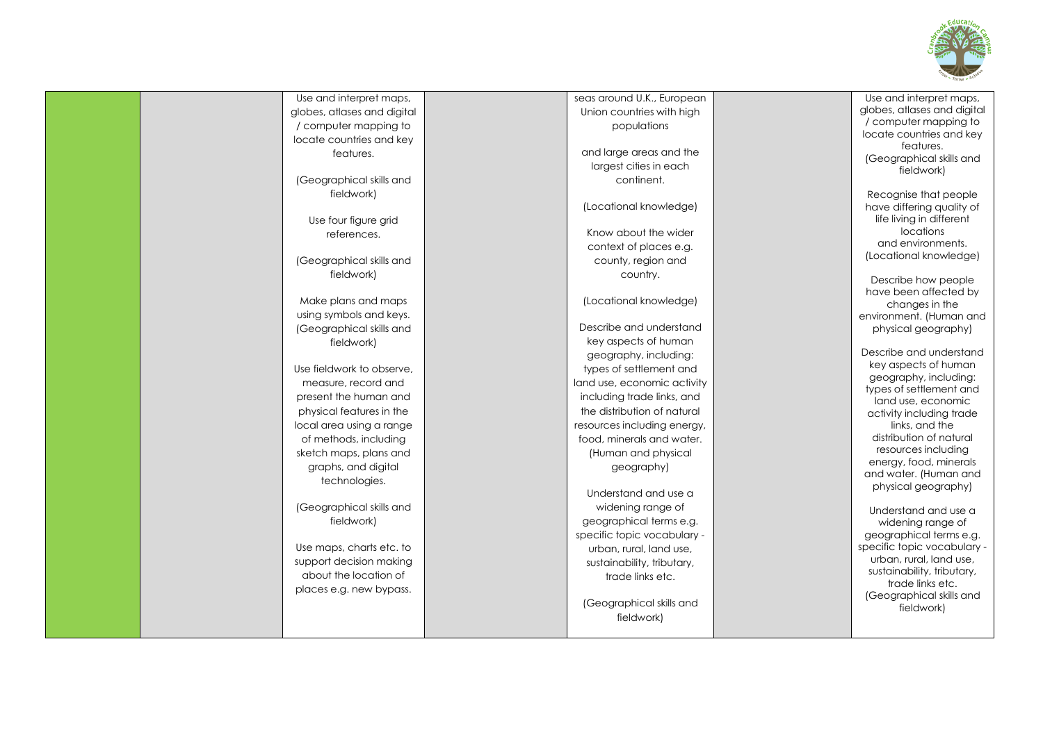

| Use and interpret maps,     | seas around U.K., European  | Use and interpret maps,<br>globes, atlases and digital |
|-----------------------------|-----------------------------|--------------------------------------------------------|
| globes, atlases and digital | Union countries with high   | / computer mapping to                                  |
| / computer mapping to       | populations                 | locate countries and key                               |
| locate countries and key    |                             | features.                                              |
| features.                   | and large areas and the     | (Geographical skills and                               |
|                             | largest cities in each      | fieldwork)                                             |
| (Geographical skills and    | continent.                  |                                                        |
| fieldwork)                  |                             | Recognise that people                                  |
|                             | (Locational knowledge)      | have differing quality of                              |
| Use four figure grid        |                             | life living in different                               |
| references.                 | Know about the wider        | locations<br>and environments.                         |
|                             | context of places e.g.      | (Locational knowledge)                                 |
| (Geographical skills and    | county, region and          |                                                        |
| fieldwork)                  | country.                    | Describe how people                                    |
|                             |                             | have been affected by                                  |
| Make plans and maps         | (Locational knowledge)      | changes in the                                         |
| using symbols and keys.     |                             | environment. (Human and                                |
| (Geographical skills and    | Describe and understand     | physical geography)                                    |
| fieldwork)                  | key aspects of human        |                                                        |
|                             | geography, including:       | Describe and understand<br>key aspects of human        |
| Use fieldwork to observe.   | types of settlement and     | geography, including:                                  |
| measure, record and         | land use, economic activity | types of settlement and                                |
| present the human and       | including trade links, and  | land use, economic                                     |
| physical features in the    | the distribution of natural | activity including trade                               |
| local area using a range    | resources including energy, | links, and the                                         |
| of methods, including       | food, minerals and water.   | distribution of natural                                |
| sketch maps, plans and      | (Human and physical         | resources including                                    |
| graphs, and digital         | geography)                  | energy, food, minerals                                 |
| technologies.               |                             | and water. (Human and<br>physical geography)           |
|                             | Understand and use a        |                                                        |
| (Geographical skills and    | widening range of           | Understand and use a                                   |
| fieldwork)                  | geographical terms e.g.     | widening range of                                      |
|                             | specific topic vocabulary - | geographical terms e.g.                                |
| Use maps, charts etc. to    | urban, rural, land use,     | specific topic vocabulary -                            |
| support decision making     | sustainability, tributary,  | urban, rural, land use,                                |
| about the location of       | trade links etc.            | sustainability, tributary,                             |
| places e.g. new bypass.     |                             | trade links etc.                                       |
|                             | (Geographical skills and    | (Geographical skills and<br>fieldwork)                 |
|                             | fieldwork)                  |                                                        |
|                             |                             |                                                        |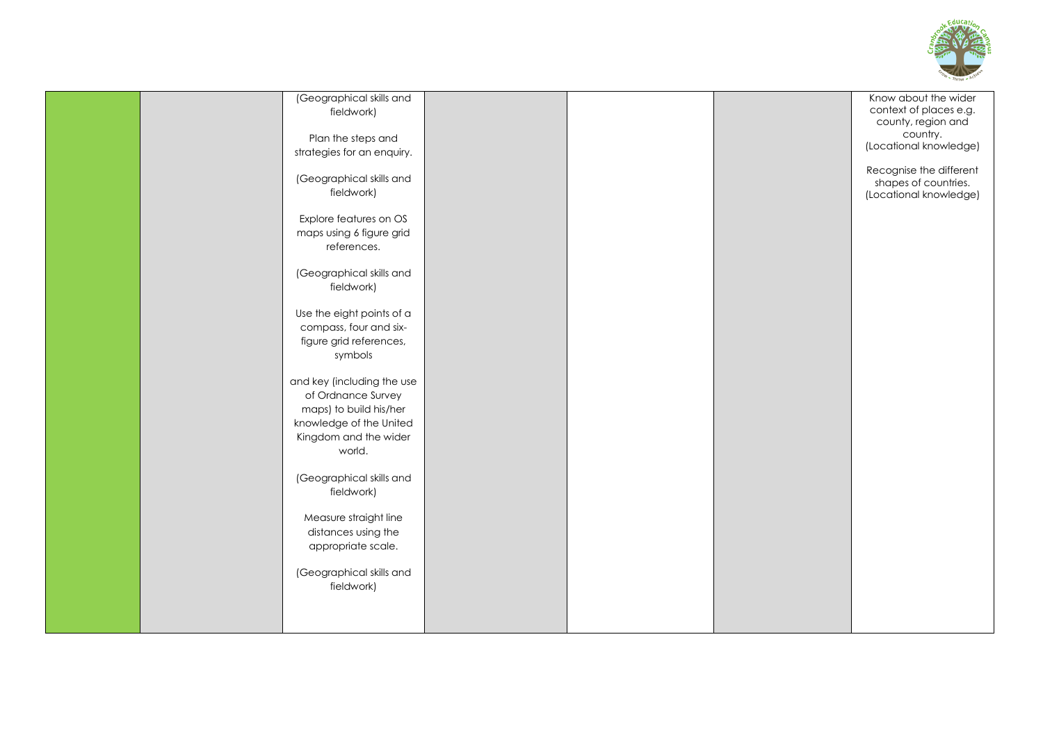

| (Geographical skills and<br>fieldwork)<br>Plan the steps and<br>strategies for an enquiry.<br>(Geographical skills and<br>fieldwork)<br>Explore features on OS<br>maps using 6 figure grid<br>references.<br>(Geographical skills and<br>fieldwork)<br>Use the eight points of a<br>compass, four and six-<br>figure grid references,<br>symbols |  | Know about the wider<br>context of places e.g.<br>county, region and<br>country.<br>(Locational knowledge)<br>Recognise the different<br>shapes of countries.<br>(Locational knowledge) |
|--------------------------------------------------------------------------------------------------------------------------------------------------------------------------------------------------------------------------------------------------------------------------------------------------------------------------------------------------|--|-----------------------------------------------------------------------------------------------------------------------------------------------------------------------------------------|
| and key (including the use<br>of Ordnance Survey<br>maps) to build his/her<br>knowledge of the United<br>Kingdom and the wider<br>world.<br>(Geographical skills and<br>fieldwork)<br>Measure straight line<br>distances using the<br>appropriate scale.<br>(Geographical skills and<br>fieldwork)                                               |  |                                                                                                                                                                                         |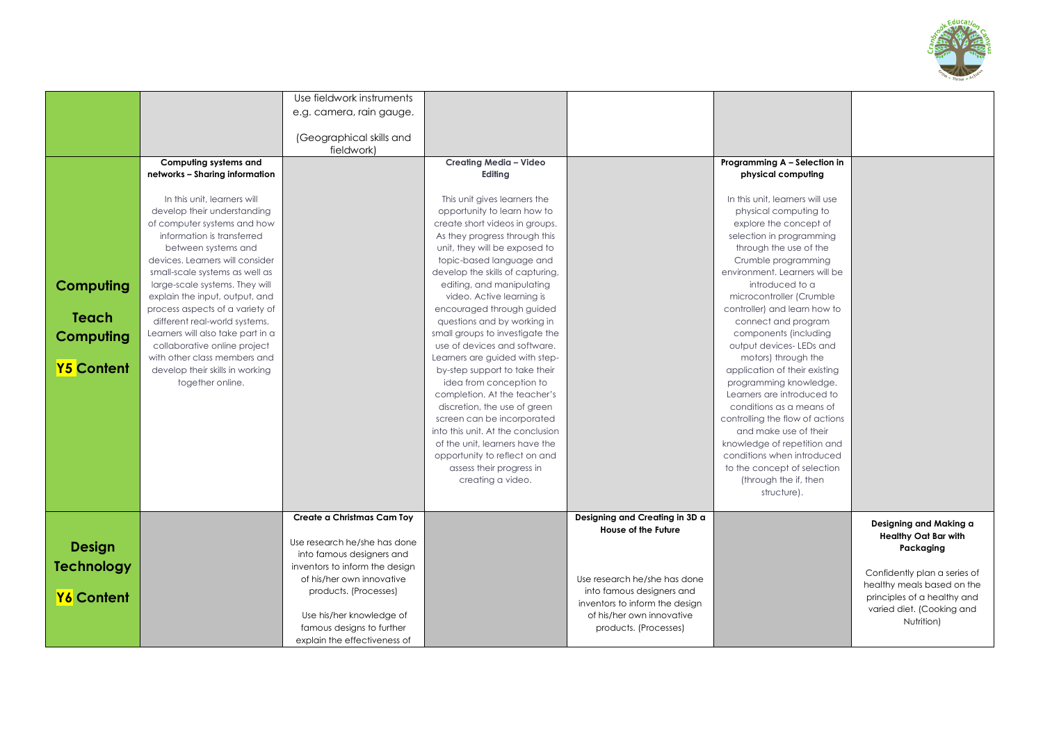

|                   |                                   | Use fieldwork instruments                                   |                                   |                                                           |                                 |                              |
|-------------------|-----------------------------------|-------------------------------------------------------------|-----------------------------------|-----------------------------------------------------------|---------------------------------|------------------------------|
|                   |                                   |                                                             |                                   |                                                           |                                 |                              |
|                   |                                   | e.g. camera, rain gauge.                                    |                                   |                                                           |                                 |                              |
|                   |                                   |                                                             |                                   |                                                           |                                 |                              |
|                   |                                   | (Geographical skills and                                    |                                   |                                                           |                                 |                              |
|                   |                                   | fieldwork)                                                  |                                   |                                                           |                                 |                              |
|                   | Computing systems and             |                                                             | Creating Media - Video            |                                                           | Programming A - Selection in    |                              |
|                   | networks - Sharing information    |                                                             | Editing                           |                                                           | physical computing              |                              |
|                   |                                   |                                                             |                                   |                                                           |                                 |                              |
|                   | In this unit, learners will       |                                                             | This unit gives learners the      |                                                           | In this unit, learners will use |                              |
|                   | develop their understanding       |                                                             | opportunity to learn how to       |                                                           | physical computing to           |                              |
|                   | of computer systems and how       |                                                             | create short videos in groups.    |                                                           | explore the concept of          |                              |
|                   | information is transferred        |                                                             | As they progress through this     |                                                           | selection in programming        |                              |
|                   | between systems and               |                                                             | unit, they will be exposed to     |                                                           | through the use of the          |                              |
|                   | devices. Learners will consider   |                                                             | topic-based language and          |                                                           | Crumble programming             |                              |
|                   | small-scale systems as well as    |                                                             | develop the skills of capturing,  |                                                           | environment. Learners will be   |                              |
| <b>Computing</b>  | large-scale systems. They will    |                                                             | editing, and manipulating         |                                                           | introduced to a                 |                              |
|                   | explain the input, output, and    |                                                             | video. Active learning is         |                                                           | microcontroller (Crumble        |                              |
|                   | process aspects of a variety of   |                                                             | encouraged through guided         |                                                           | controller) and learn how to    |                              |
| Teach             | different real-world systems.     |                                                             | questions and by working in       |                                                           | connect and program             |                              |
| <b>Computing</b>  | Learners will also take part in a |                                                             | small groups to investigate the   |                                                           | components (including           |                              |
|                   | collaborative online project      |                                                             | use of devices and software.      |                                                           | output devices-LEDs and         |                              |
|                   | with other class members and      |                                                             | Learners are guided with step-    |                                                           | motors) through the             |                              |
| <b>Y5 Content</b> | develop their skills in working   |                                                             | by-step support to take their     |                                                           | application of their existing   |                              |
|                   | together online.                  |                                                             | idea from conception to           |                                                           | programming knowledge.          |                              |
|                   |                                   |                                                             | completion. At the teacher's      |                                                           | Learners are introduced to      |                              |
|                   |                                   |                                                             | discretion, the use of green      |                                                           | conditions as a means of        |                              |
|                   |                                   |                                                             | screen can be incorporated        |                                                           | controlling the flow of actions |                              |
|                   |                                   |                                                             | into this unit. At the conclusion |                                                           | and make use of their           |                              |
|                   |                                   |                                                             | of the unit, learners have the    |                                                           | knowledge of repetition and     |                              |
|                   |                                   |                                                             | opportunity to reflect on and     |                                                           | conditions when introduced      |                              |
|                   |                                   |                                                             | assess their progress in          |                                                           | to the concept of selection     |                              |
|                   |                                   |                                                             | creating a video.                 |                                                           | (through the if, then           |                              |
|                   |                                   |                                                             |                                   |                                                           | structure).                     |                              |
|                   |                                   |                                                             |                                   |                                                           |                                 |                              |
|                   |                                   | Create a Christmas Cam Toy                                  |                                   | Designing and Creating in 3D a                            |                                 | Designing and Making a       |
|                   |                                   |                                                             |                                   | <b>House of the Future</b>                                |                                 | <b>Healthy Oat Bar with</b>  |
| <b>Design</b>     |                                   | Use research he/she has done                                |                                   |                                                           |                                 | Packaging                    |
|                   |                                   | into famous designers and                                   |                                   |                                                           |                                 |                              |
| <b>Technology</b> |                                   | inventors to inform the design<br>of his/her own innovative |                                   |                                                           |                                 | Confidently plan a series of |
|                   |                                   |                                                             |                                   | Use research he/she has done<br>into famous designers and |                                 | healthy meals based on the   |
| Y6 Content        |                                   | products. (Processes)                                       |                                   | inventors to inform the design                            |                                 | principles of a healthy and  |
|                   |                                   | Use his/her knowledge of                                    |                                   | of his/her own innovative                                 |                                 | varied diet. (Cooking and    |
|                   |                                   | famous designs to further                                   |                                   | products. (Processes)                                     |                                 | Nutrition)                   |
|                   |                                   | explain the effectiveness of                                |                                   |                                                           |                                 |                              |
|                   |                                   |                                                             |                                   |                                                           |                                 |                              |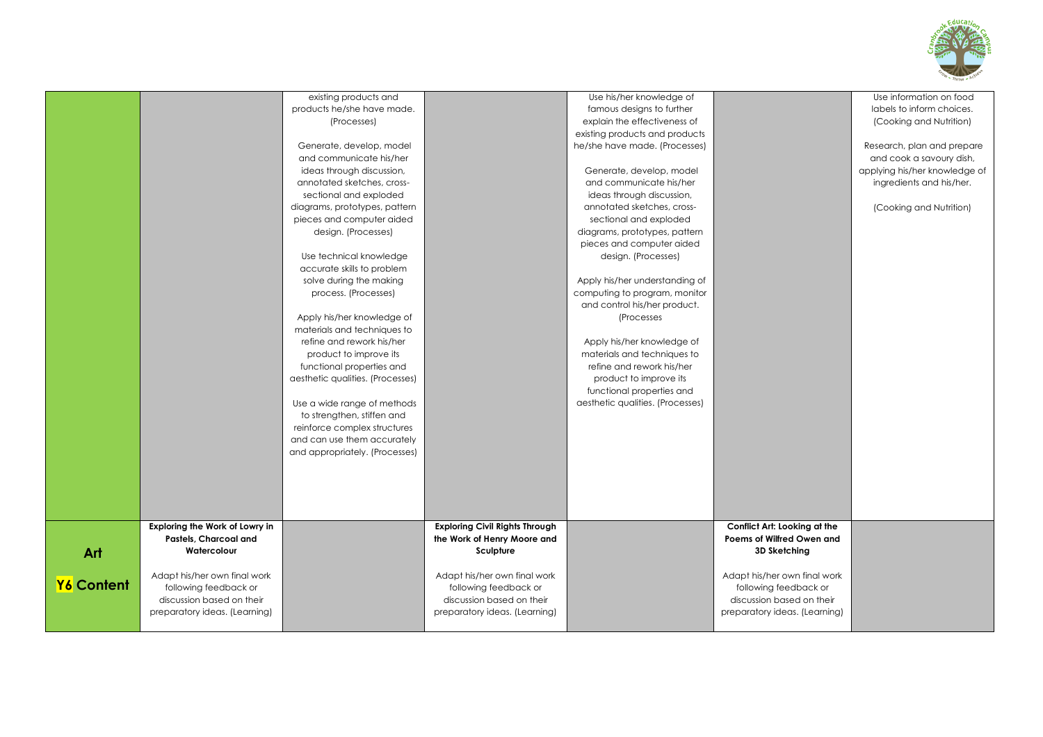

|                                                                                                   | existing products and<br>products he/she have made.<br>(Processes)<br>Generate, develop, model<br>and communicate his/her<br>ideas through discussion,<br>annotated sketches, cross-<br>sectional and exploded<br>diagrams, prototypes, pattern<br>pieces and computer aided<br>design. (Processes)<br>Use technical knowledge<br>accurate skills to problem<br>solve during the making<br>process. (Processes)<br>Apply his/her knowledge of<br>materials and techniques to<br>refine and rework his/her<br>product to improve its<br>functional properties and<br>aesthetic qualities. (Processes)<br>Use a wide range of methods<br>to strengthen, stiffen and<br>reinforce complex structures<br>and can use them accurately<br>and appropriately. (Processes) |                                                                                     | Use his/her knowledge of<br>famous designs to further<br>explain the effectiveness of<br>existing products and products<br>he/she have made. (Processes)<br>Generate, develop, model<br>and communicate his/her<br>ideas through discussion,<br>annotated sketches, cross-<br>sectional and exploded<br>diagrams, prototypes, pattern<br>pieces and computer aided<br>design. (Processes)<br>Apply his/her understanding of<br>computing to program, monitor<br>and control his/her product.<br>(Processes)<br>Apply his/her knowledge of<br>materials and techniques to<br>refine and rework his/her<br>product to improve its<br>functional properties and<br>aesthetic qualities. (Processes) |                                                                                     | Use information on food<br>labels to inform choices.<br>(Cooking and Nutrition)<br>Research, plan and prepare<br>and cook a savoury dish,<br>applying his/her knowledge of<br>ingredients and his/her.<br>(Cooking and Nutrition) |
|---------------------------------------------------------------------------------------------------|--------------------------------------------------------------------------------------------------------------------------------------------------------------------------------------------------------------------------------------------------------------------------------------------------------------------------------------------------------------------------------------------------------------------------------------------------------------------------------------------------------------------------------------------------------------------------------------------------------------------------------------------------------------------------------------------------------------------------------------------------------------------|-------------------------------------------------------------------------------------|--------------------------------------------------------------------------------------------------------------------------------------------------------------------------------------------------------------------------------------------------------------------------------------------------------------------------------------------------------------------------------------------------------------------------------------------------------------------------------------------------------------------------------------------------------------------------------------------------------------------------------------------------------------------------------------------------|-------------------------------------------------------------------------------------|-----------------------------------------------------------------------------------------------------------------------------------------------------------------------------------------------------------------------------------|
| Exploring the Work of Lowry in<br>Pastels, Charcoal and                                           |                                                                                                                                                                                                                                                                                                                                                                                                                                                                                                                                                                                                                                                                                                                                                                    | <b>Exploring Civil Rights Through</b><br>the Work of Henry Moore and                |                                                                                                                                                                                                                                                                                                                                                                                                                                                                                                                                                                                                                                                                                                  | Conflict Art: Looking at the<br>Poems of Wilfred Owen and                           |                                                                                                                                                                                                                                   |
| Watercolour<br>Art<br>Adapt his/her own final work                                                |                                                                                                                                                                                                                                                                                                                                                                                                                                                                                                                                                                                                                                                                                                                                                                    | Sculpture<br>Adapt his/her own final work                                           |                                                                                                                                                                                                                                                                                                                                                                                                                                                                                                                                                                                                                                                                                                  | 3D Sketching<br>Adapt his/her own final work                                        |                                                                                                                                                                                                                                   |
| Y6 Content<br>following feedback or<br>discussion based on their<br>preparatory ideas. (Learning) |                                                                                                                                                                                                                                                                                                                                                                                                                                                                                                                                                                                                                                                                                                                                                                    | following feedback or<br>discussion based on their<br>preparatory ideas. (Learning) |                                                                                                                                                                                                                                                                                                                                                                                                                                                                                                                                                                                                                                                                                                  | following feedback or<br>discussion based on their<br>preparatory ideas. (Learning) |                                                                                                                                                                                                                                   |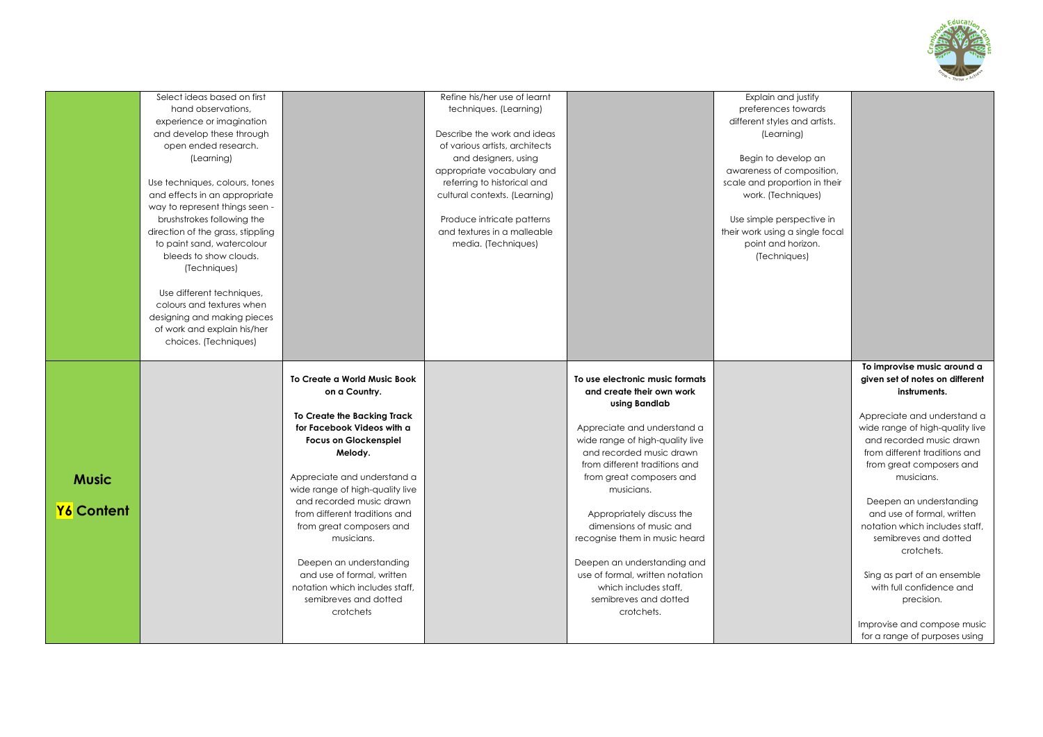

|              | Select ideas based on first       |                                 | Refine his/her use of learnt   |                                 | Explain and justify             |                                 |
|--------------|-----------------------------------|---------------------------------|--------------------------------|---------------------------------|---------------------------------|---------------------------------|
|              | hand observations.                |                                 | techniques. (Learning)         |                                 | preferences towards             |                                 |
|              | experience or imagination         |                                 |                                |                                 | different styles and artists.   |                                 |
|              | and develop these through         |                                 | Describe the work and ideas    |                                 | (Learning)                      |                                 |
|              | open ended research.              |                                 | of various artists, architects |                                 |                                 |                                 |
|              | (Learning)                        |                                 | and designers, using           |                                 | Begin to develop an             |                                 |
|              |                                   |                                 | appropriate vocabulary and     |                                 | awareness of composition,       |                                 |
|              | Use techniques, colours, tones    |                                 | referring to historical and    |                                 | scale and proportion in their   |                                 |
|              | and effects in an appropriate     |                                 | cultural contexts. (Learning)  |                                 | work. (Techniques)              |                                 |
|              | way to represent things seen -    |                                 |                                |                                 |                                 |                                 |
|              | brushstrokes following the        |                                 | Produce intricate patterns     |                                 | Use simple perspective in       |                                 |
|              | direction of the grass, stippling |                                 | and textures in a malleable    |                                 | their work using a single focal |                                 |
|              | to paint sand, watercolour        |                                 | media. (Techniques)            |                                 | point and horizon.              |                                 |
|              | bleeds to show clouds.            |                                 |                                |                                 | (Techniques)                    |                                 |
|              | (Techniques)                      |                                 |                                |                                 |                                 |                                 |
|              |                                   |                                 |                                |                                 |                                 |                                 |
|              | Use different techniques,         |                                 |                                |                                 |                                 |                                 |
|              | colours and textures when         |                                 |                                |                                 |                                 |                                 |
|              | designing and making pieces       |                                 |                                |                                 |                                 |                                 |
|              | of work and explain his/her       |                                 |                                |                                 |                                 |                                 |
|              | choices. (Techniques)             |                                 |                                |                                 |                                 |                                 |
|              |                                   |                                 |                                |                                 |                                 |                                 |
|              |                                   |                                 |                                |                                 |                                 | To improvise music around a     |
|              |                                   | To Create a World Music Book    |                                | To use electronic music formats |                                 | given set of notes on different |
|              |                                   | on a Country.                   |                                | and create their own work       |                                 | instruments.                    |
|              |                                   |                                 |                                | using Bandlab                   |                                 |                                 |
|              |                                   | To Create the Backing Track     |                                |                                 |                                 | Appreciate and understand a     |
|              |                                   | for Facebook Videos with a      |                                | Appreciate and understand a     |                                 | wide range of high-quality live |
|              |                                   | <b>Focus on Glockenspiel</b>    |                                | wide range of high-quality live |                                 | and recorded music drawn        |
|              |                                   | Melody.                         |                                | and recorded music drawn        |                                 | from different traditions and   |
|              |                                   |                                 |                                | from different traditions and   |                                 | from great composers and        |
| <b>Music</b> |                                   | Appreciate and understand a     |                                | from great composers and        |                                 | musicians.                      |
|              |                                   | wide range of high-quality live |                                | musicians.                      |                                 |                                 |
|              |                                   | and recorded music drawn        |                                |                                 |                                 | Deepen an understanding         |
| Y6 Content   |                                   | from different traditions and   |                                | Appropriately discuss the       |                                 | and use of formal, written      |
|              |                                   | from great composers and        |                                | dimensions of music and         |                                 | notation which includes staff.  |
|              |                                   | musicians.                      |                                | recognise them in music heard   |                                 | semibreves and dotted           |
|              |                                   |                                 |                                |                                 |                                 | crotchets.                      |
|              |                                   | Deepen an understanding         |                                | Deepen an understanding and     |                                 |                                 |
|              |                                   | and use of formal, written      |                                | use of formal, written notation |                                 | Sing as part of an ensemble     |
|              |                                   | notation which includes staff.  |                                | which includes staff.           |                                 | with full confidence and        |
|              |                                   | semibreves and dotted           |                                | semibreves and dotted           |                                 | precision.                      |
|              |                                   | crotchets                       |                                | crotchets.                      |                                 |                                 |
|              |                                   |                                 |                                |                                 |                                 | Improvise and compose music     |
|              |                                   |                                 |                                |                                 |                                 |                                 |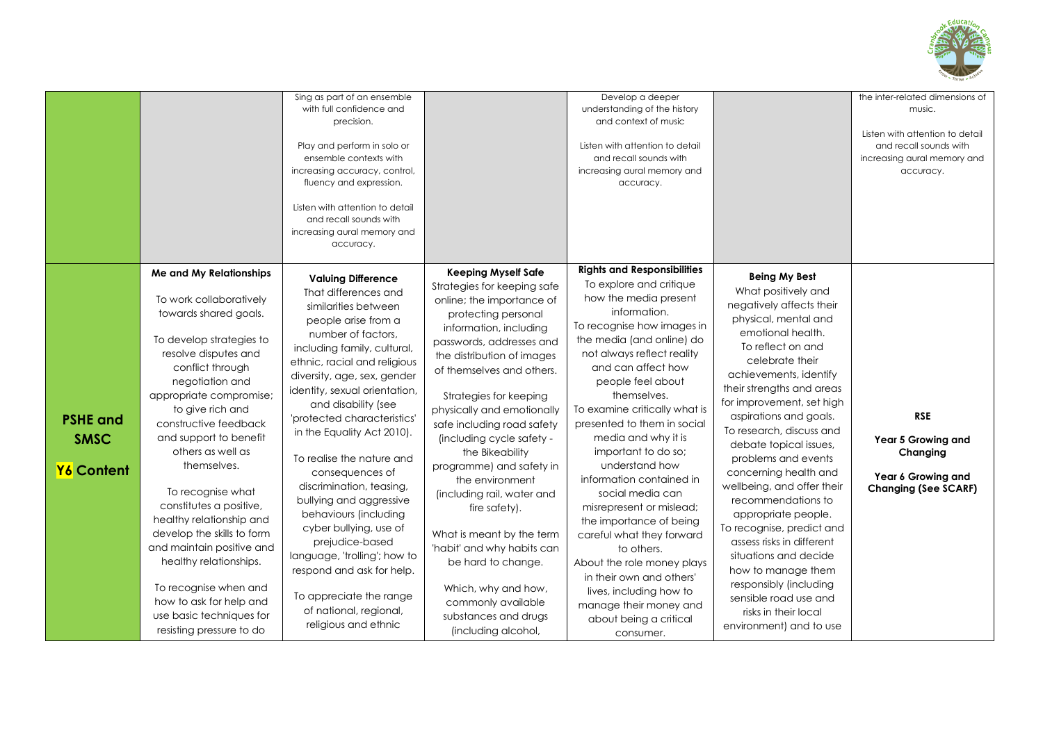

|                                              |                                                                                                                                                                                                                                                                                                                                                                                                                                                                                                                                                                                           | Sing as part of an ensemble<br>with full confidence and<br>precision.<br>Play and perform in solo or<br>ensemble contexts with<br>increasing accuracy, control,<br>fluency and expression.<br>Listen with attention to detail<br>and recall sounds with<br>increasing aural memory and<br>accuracy.                                                                                                                                                                                                                                                                                                                                                              |                                                                                                                                                                                                                                                                                                                                                                                                                                                                                                                                                                                                                                                 | Develop a deeper<br>understanding of the history<br>and context of music<br>Listen with attention to detail<br>and recall sounds with<br>increasing aural memory and<br>accuracy.<br><b>Rights and Responsibilities</b>                                                                                                                                                                                                                                                                                                                                                                                                                                     |                                                                                                                                                                                                                                                                                                                                                                                                                                                                                                                                                                                                                                                                            | the inter-related dimensions of<br>music.<br>Listen with attention to detail<br>and recall sounds with<br>increasing aural memory and<br>accuracy. |
|----------------------------------------------|-------------------------------------------------------------------------------------------------------------------------------------------------------------------------------------------------------------------------------------------------------------------------------------------------------------------------------------------------------------------------------------------------------------------------------------------------------------------------------------------------------------------------------------------------------------------------------------------|------------------------------------------------------------------------------------------------------------------------------------------------------------------------------------------------------------------------------------------------------------------------------------------------------------------------------------------------------------------------------------------------------------------------------------------------------------------------------------------------------------------------------------------------------------------------------------------------------------------------------------------------------------------|-------------------------------------------------------------------------------------------------------------------------------------------------------------------------------------------------------------------------------------------------------------------------------------------------------------------------------------------------------------------------------------------------------------------------------------------------------------------------------------------------------------------------------------------------------------------------------------------------------------------------------------------------|-------------------------------------------------------------------------------------------------------------------------------------------------------------------------------------------------------------------------------------------------------------------------------------------------------------------------------------------------------------------------------------------------------------------------------------------------------------------------------------------------------------------------------------------------------------------------------------------------------------------------------------------------------------|----------------------------------------------------------------------------------------------------------------------------------------------------------------------------------------------------------------------------------------------------------------------------------------------------------------------------------------------------------------------------------------------------------------------------------------------------------------------------------------------------------------------------------------------------------------------------------------------------------------------------------------------------------------------------|----------------------------------------------------------------------------------------------------------------------------------------------------|
| <b>PSHE and</b><br><b>SMSC</b><br>Y6 Content | Me and My Relationships<br>To work collaboratively<br>towards shared goals.<br>To develop strategies to<br>resolve disputes and<br>conflict through<br>negotiation and<br>appropriate compromise;<br>to give rich and<br>constructive feedback<br>and support to benefit<br>others as well as<br>themselves.<br>To recognise what<br>constitutes a positive,<br>healthy relationship and<br>develop the skills to form<br>and maintain positive and<br>healthy relationships.<br>To recognise when and<br>how to ask for help and<br>use basic techniques for<br>resisting pressure to do | <b>Valuing Difference</b><br>That differences and<br>similarities between<br>people arise from a<br>number of factors,<br>including family, cultural,<br>ethnic, racial and religious<br>diversity, age, sex, gender<br>identity, sexual orientation,<br>and disability (see<br>'protected characteristics'<br>in the Equality Act 2010).<br>To realise the nature and<br>consequences of<br>discrimination, teasing,<br>bullying and aggressive<br>behaviours (including<br>cyber bullying, use of<br>prejudice-based<br>language, 'trolling'; how to<br>respond and ask for help.<br>To appreciate the range<br>of national, regional,<br>religious and ethnic | <b>Keeping Myself Safe</b><br>Strategies for keeping safe<br>online; the importance of<br>protecting personal<br>information, including<br>passwords, addresses and<br>the distribution of images<br>of themselves and others.<br>Strategies for keeping<br>physically and emotionally<br>safe including road safety<br>(including cycle safety -<br>the Bikeability<br>programme) and safety in<br>the environment<br>(including rail, water and<br>fire safety).<br>What is meant by the term<br>'habit' and why habits can<br>be hard to change.<br>Which, why and how,<br>commonly available<br>substances and drugs<br>(including alcohol, | To explore and critique<br>how the media present<br>information.<br>To recognise how images in<br>the media (and online) do<br>not always reflect reality<br>and can affect how<br>people feel about<br>themselves.<br>To examine critically what is<br>presented to them in social<br>media and why it is<br>important to do so;<br>understand how<br>information contained in<br>social media can<br>misrepresent or mislead;<br>the importance of being<br>careful what they forward<br>to others.<br>About the role money plays<br>in their own and others'<br>lives, including how to<br>manage their money and<br>about being a critical<br>consumer. | <b>Being My Best</b><br>What positively and<br>negatively affects their<br>physical, mental and<br>emotional health.<br>To reflect on and<br>celebrate their<br>achievements, identify<br>their strengths and areas<br>for improvement, set high<br>aspirations and goals.<br>To research, discuss and<br>debate topical issues,<br>problems and events<br>concerning health and<br>wellbeing, and offer their<br>recommendations to<br>appropriate people.<br>To recognise, predict and<br>assess risks in different<br>situations and decide<br>how to manage them<br>responsibly (including<br>sensible road use and<br>risks in their local<br>environment) and to use | <b>RSE</b><br>Year 5 Growing and<br>Changing<br>Year 6 Growing and<br><b>Changing (See SCARF)</b>                                                  |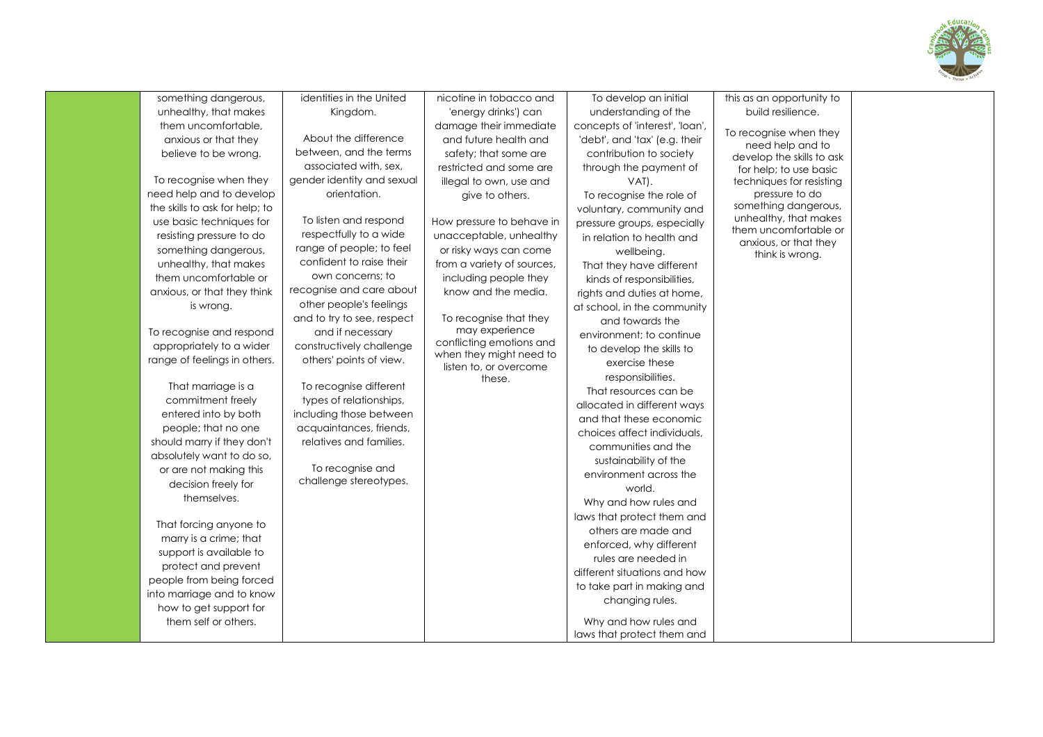

| something dangerous,                                | identities in the United                           | nicotine in tobacco and                    | To develop an initial           | this as an opportunity to                      |  |
|-----------------------------------------------------|----------------------------------------------------|--------------------------------------------|---------------------------------|------------------------------------------------|--|
| unhealthy, that makes                               | Kingdom.                                           | 'energy drinks') can                       | understanding of the            | build resilience.                              |  |
| them uncomfortable,                                 |                                                    | damage their immediate                     | concepts of 'interest', 'loan', | To recognise when they                         |  |
| anxious or that they                                | About the difference                               | and future health and                      | 'debt', and 'tax' (e.g. their   | need help and to                               |  |
| believe to be wrong.                                | between, and the terms                             | safety; that some are                      | contribution to society         | develop the skills to ask                      |  |
|                                                     | associated with, sex,                              | restricted and some are                    | through the payment of          | for help; to use basic                         |  |
| To recognise when they                              | gender identity and sexual                         | illegal to own, use and                    | VAT).                           | techniques for resisting                       |  |
| need help and to develop                            | orientation.                                       | give to others.                            | To recognise the role of        | pressure to do                                 |  |
| the skills to ask for help; to                      |                                                    |                                            | voluntary, community and        | something dangerous,                           |  |
| use basic techniques for                            | To listen and respond                              | How pressure to behave in                  | pressure groups, especially     | unhealthy, that makes<br>them uncomfortable or |  |
| resisting pressure to do                            | respectfully to a wide                             | unacceptable, unhealthy                    | in relation to health and       | anxious, or that they                          |  |
| something dangerous,                                | range of people; to feel                           | or risky ways can come                     | wellbeing.                      | think is wrong.                                |  |
| unhealthy, that makes                               | confident to raise their                           | from a variety of sources,                 | That they have different        |                                                |  |
| them uncomfortable or                               | own concerns; to                                   | including people they                      | kinds of responsibilities,      |                                                |  |
| anxious, or that they think                         | recognise and care about                           | know and the media.                        | rights and duties at home,      |                                                |  |
| is wrong.                                           | other people's feelings                            |                                            | at school, in the community     |                                                |  |
|                                                     | and to try to see, respect                         | To recognise that they                     | and towards the                 |                                                |  |
| To recognise and respond                            | and if necessary                                   | may experience<br>conflicting emotions and | environment: to continue        |                                                |  |
| appropriately to a wider                            | constructively challenge                           | when they might need to                    | to develop the skills to        |                                                |  |
| range of feelings in others.                        | others' points of view.                            | listen to, or overcome                     | exercise these                  |                                                |  |
|                                                     |                                                    | these.                                     | responsibilities.               |                                                |  |
| That marriage is a                                  | To recognise different                             |                                            | That resources can be           |                                                |  |
| commitment freely                                   | types of relationships,                            |                                            | allocated in different ways     |                                                |  |
| entered into by both                                | including those between                            |                                            | and that these economic         |                                                |  |
| people; that no one                                 | acquaintances, friends,<br>relatives and families. |                                            | choices affect individuals.     |                                                |  |
| should marry if they don't                          |                                                    |                                            | communities and the             |                                                |  |
| absolutely want to do so,<br>or are not making this | To recognise and                                   |                                            | sustainability of the           |                                                |  |
| decision freely for                                 | challenge stereotypes.                             |                                            | environment across the          |                                                |  |
| themselves.                                         |                                                    |                                            | world.                          |                                                |  |
|                                                     |                                                    |                                            | Why and how rules and           |                                                |  |
| That forcing anyone to                              |                                                    |                                            | laws that protect them and      |                                                |  |
| marry is a crime; that                              |                                                    |                                            | others are made and             |                                                |  |
| support is available to                             |                                                    |                                            | enforced, why different         |                                                |  |
| protect and prevent                                 |                                                    |                                            | rules are needed in             |                                                |  |
| people from being forced                            |                                                    |                                            | different situations and how    |                                                |  |
| into marriage and to know                           |                                                    |                                            | to take part in making and      |                                                |  |
| how to get support for                              |                                                    |                                            | changing rules.                 |                                                |  |
| them self or others.                                |                                                    |                                            | Why and how rules and           |                                                |  |
|                                                     |                                                    |                                            | laws that protect them and      |                                                |  |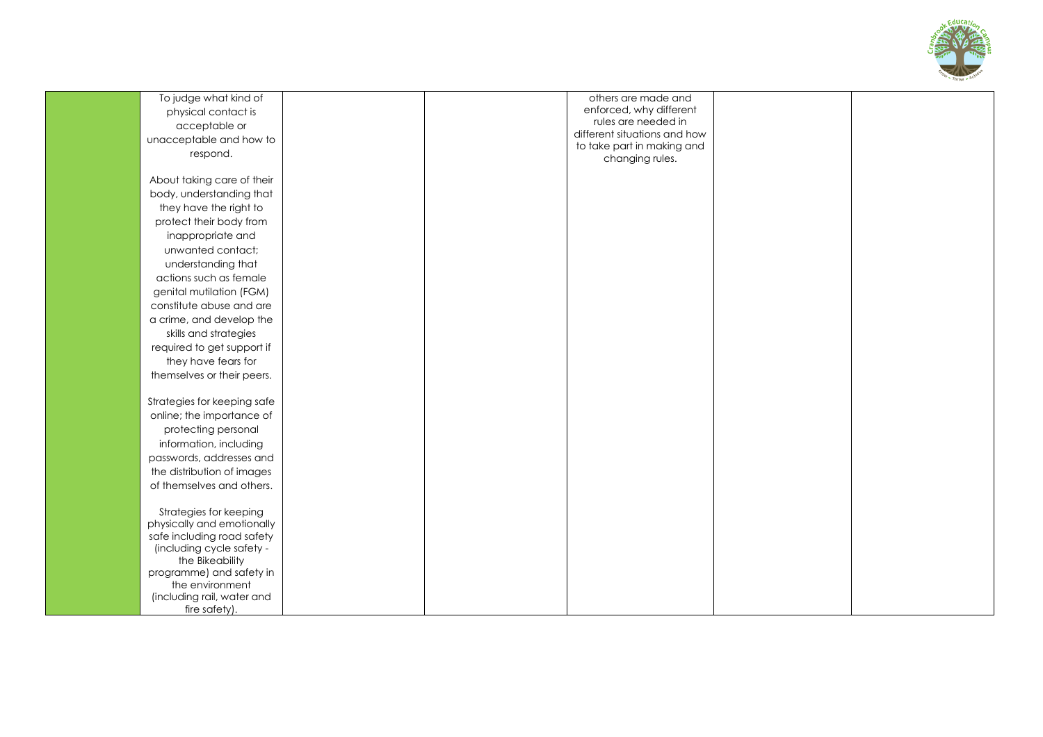

| To judge what kind of                                                                                                                                                                                                                                                                                                                                                                                                                                                                                                                                                                                                                                                                          | others are made and                            |  |
|------------------------------------------------------------------------------------------------------------------------------------------------------------------------------------------------------------------------------------------------------------------------------------------------------------------------------------------------------------------------------------------------------------------------------------------------------------------------------------------------------------------------------------------------------------------------------------------------------------------------------------------------------------------------------------------------|------------------------------------------------|--|
| physical contact is                                                                                                                                                                                                                                                                                                                                                                                                                                                                                                                                                                                                                                                                            | enforced, why different<br>rules are needed in |  |
| acceptable or                                                                                                                                                                                                                                                                                                                                                                                                                                                                                                                                                                                                                                                                                  | different situations and how                   |  |
| unacceptable and how to                                                                                                                                                                                                                                                                                                                                                                                                                                                                                                                                                                                                                                                                        | to take part in making and                     |  |
| respond.                                                                                                                                                                                                                                                                                                                                                                                                                                                                                                                                                                                                                                                                                       | changing rules.                                |  |
|                                                                                                                                                                                                                                                                                                                                                                                                                                                                                                                                                                                                                                                                                                |                                                |  |
| About taking care of their                                                                                                                                                                                                                                                                                                                                                                                                                                                                                                                                                                                                                                                                     |                                                |  |
| body, understanding that                                                                                                                                                                                                                                                                                                                                                                                                                                                                                                                                                                                                                                                                       |                                                |  |
|                                                                                                                                                                                                                                                                                                                                                                                                                                                                                                                                                                                                                                                                                                |                                                |  |
|                                                                                                                                                                                                                                                                                                                                                                                                                                                                                                                                                                                                                                                                                                |                                                |  |
|                                                                                                                                                                                                                                                                                                                                                                                                                                                                                                                                                                                                                                                                                                |                                                |  |
|                                                                                                                                                                                                                                                                                                                                                                                                                                                                                                                                                                                                                                                                                                |                                                |  |
|                                                                                                                                                                                                                                                                                                                                                                                                                                                                                                                                                                                                                                                                                                |                                                |  |
|                                                                                                                                                                                                                                                                                                                                                                                                                                                                                                                                                                                                                                                                                                |                                                |  |
|                                                                                                                                                                                                                                                                                                                                                                                                                                                                                                                                                                                                                                                                                                |                                                |  |
|                                                                                                                                                                                                                                                                                                                                                                                                                                                                                                                                                                                                                                                                                                |                                                |  |
|                                                                                                                                                                                                                                                                                                                                                                                                                                                                                                                                                                                                                                                                                                |                                                |  |
|                                                                                                                                                                                                                                                                                                                                                                                                                                                                                                                                                                                                                                                                                                |                                                |  |
|                                                                                                                                                                                                                                                                                                                                                                                                                                                                                                                                                                                                                                                                                                |                                                |  |
|                                                                                                                                                                                                                                                                                                                                                                                                                                                                                                                                                                                                                                                                                                |                                                |  |
|                                                                                                                                                                                                                                                                                                                                                                                                                                                                                                                                                                                                                                                                                                |                                                |  |
|                                                                                                                                                                                                                                                                                                                                                                                                                                                                                                                                                                                                                                                                                                |                                                |  |
|                                                                                                                                                                                                                                                                                                                                                                                                                                                                                                                                                                                                                                                                                                |                                                |  |
|                                                                                                                                                                                                                                                                                                                                                                                                                                                                                                                                                                                                                                                                                                |                                                |  |
|                                                                                                                                                                                                                                                                                                                                                                                                                                                                                                                                                                                                                                                                                                |                                                |  |
|                                                                                                                                                                                                                                                                                                                                                                                                                                                                                                                                                                                                                                                                                                |                                                |  |
|                                                                                                                                                                                                                                                                                                                                                                                                                                                                                                                                                                                                                                                                                                |                                                |  |
|                                                                                                                                                                                                                                                                                                                                                                                                                                                                                                                                                                                                                                                                                                |                                                |  |
| the distribution of images                                                                                                                                                                                                                                                                                                                                                                                                                                                                                                                                                                                                                                                                     |                                                |  |
| of themselves and others.                                                                                                                                                                                                                                                                                                                                                                                                                                                                                                                                                                                                                                                                      |                                                |  |
|                                                                                                                                                                                                                                                                                                                                                                                                                                                                                                                                                                                                                                                                                                |                                                |  |
| Strategies for keeping                                                                                                                                                                                                                                                                                                                                                                                                                                                                                                                                                                                                                                                                         |                                                |  |
|                                                                                                                                                                                                                                                                                                                                                                                                                                                                                                                                                                                                                                                                                                |                                                |  |
|                                                                                                                                                                                                                                                                                                                                                                                                                                                                                                                                                                                                                                                                                                |                                                |  |
|                                                                                                                                                                                                                                                                                                                                                                                                                                                                                                                                                                                                                                                                                                |                                                |  |
|                                                                                                                                                                                                                                                                                                                                                                                                                                                                                                                                                                                                                                                                                                |                                                |  |
|                                                                                                                                                                                                                                                                                                                                                                                                                                                                                                                                                                                                                                                                                                |                                                |  |
|                                                                                                                                                                                                                                                                                                                                                                                                                                                                                                                                                                                                                                                                                                |                                                |  |
|                                                                                                                                                                                                                                                                                                                                                                                                                                                                                                                                                                                                                                                                                                |                                                |  |
| they have the right to<br>protect their body from<br>inappropriate and<br>unwanted contact;<br>understanding that<br>actions such as female<br>genital mutilation (FGM)<br>constitute abuse and are<br>a crime, and develop the<br>skills and strategies<br>required to get support if<br>they have fears for<br>themselves or their peers.<br>Strategies for keeping safe<br>online; the importance of<br>protecting personal<br>information, including<br>passwords, addresses and<br>physically and emotionally<br>safe including road safety<br>(including cycle safety -<br>the Bikeability<br>programme) and safety in<br>the environment<br>(including rail, water and<br>fire safety). |                                                |  |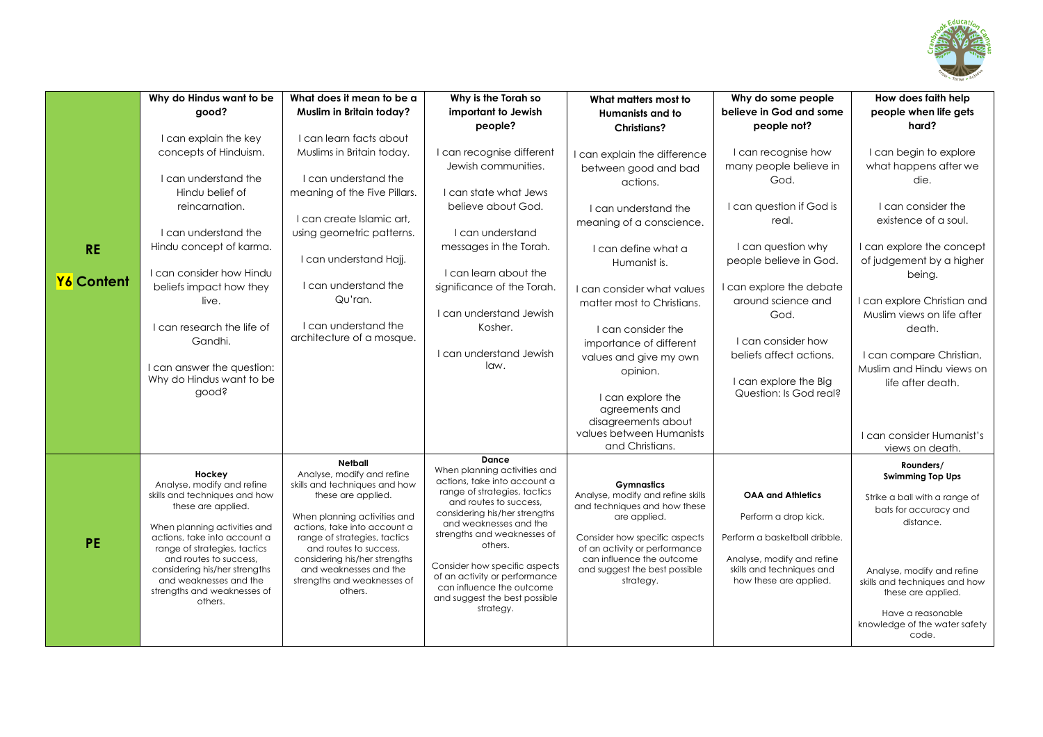

|            | Why do Hindus want to be                                     | What does it mean to be a                              | Why is the Torah so                                            | What matters most to                                              | Why do some people            | How does faith help                          |
|------------|--------------------------------------------------------------|--------------------------------------------------------|----------------------------------------------------------------|-------------------------------------------------------------------|-------------------------------|----------------------------------------------|
|            | qood?                                                        | Muslim in Britain today?                               | important to Jewish                                            | Humanists and to                                                  | believe in God and some       | people when life gets                        |
|            |                                                              |                                                        | people?                                                        | <b>Christians?</b>                                                | people not?                   | hard?                                        |
|            | I can explain the key                                        | I can learn facts about                                |                                                                |                                                                   |                               |                                              |
|            | concepts of Hinduism.                                        | Muslims in Britain today.                              | I can recognise different                                      | can explain the difference                                        | I can recognise how           | I can begin to explore                       |
|            | I can understand the                                         | I can understand the                                   | Jewish communities.                                            | between good and bad                                              | many people believe in        | what happens after we                        |
|            |                                                              |                                                        |                                                                | actions.                                                          | God.                          | die.                                         |
|            | Hindu belief of                                              | meaning of the Five Pillars.                           | I can state what Jews                                          |                                                                   |                               | I can consider the                           |
|            | reincarnation.                                               | I can create Islamic art,                              | believe about God.                                             | I can understand the                                              | I can question if God is      | existence of a soul.                         |
|            | I can understand the                                         | using geometric patterns.                              | I can understand                                               | meaning of a conscience.                                          | real.                         |                                              |
|            | Hindu concept of karma.                                      |                                                        | messages in the Torah.                                         | I can define what a                                               | I can question why            | I can explore the concept                    |
| <b>RE</b>  |                                                              | I can understand Hajj.                                 |                                                                | Humanist is.                                                      | people believe in God.        | of judgement by a higher                     |
|            | Lcan consider how Hindu                                      |                                                        | I can learn about the                                          |                                                                   |                               | being.                                       |
| Y6 Content | beliefs impact how they                                      | I can understand the                                   | significance of the Torah.                                     | I can consider what values                                        | I can explore the debate      |                                              |
|            | live.                                                        | Qu'ran.                                                |                                                                | matter most to Christians.                                        | around science and            | I can explore Christian and                  |
|            |                                                              |                                                        | I can understand Jewish                                        |                                                                   | God.                          | Muslim views on life after                   |
|            | I can research the life of                                   | I can understand the                                   | Kosher.                                                        | I can consider the                                                |                               | death.                                       |
|            | Gandhi.                                                      | architecture of a mosque.                              |                                                                | importance of different                                           | I can consider how            |                                              |
|            |                                                              |                                                        | I can understand Jewish                                        | values and give my own                                            | beliefs affect actions.       | I can compare Christian,                     |
|            | I can answer the question:                                   |                                                        | law.                                                           | opinion.                                                          |                               | Muslim and Hindu views on                    |
|            | Why do Hindus want to be                                     |                                                        |                                                                |                                                                   | I can explore the Big         | life after death.                            |
|            | dooqs                                                        |                                                        |                                                                | I can explore the                                                 | Question: Is God real?        |                                              |
|            |                                                              |                                                        |                                                                | agreements and                                                    |                               |                                              |
|            |                                                              |                                                        |                                                                | disagreements about                                               |                               |                                              |
|            |                                                              |                                                        |                                                                | values between Humanists<br>and Christians.                       |                               | I can consider Humanist's<br>views on death. |
|            |                                                              |                                                        | Dance                                                          |                                                                   |                               |                                              |
|            | Hockey                                                       | Netball<br>Analyse, modify and refine                  | When planning activities and                                   |                                                                   |                               | Rounders/<br><b>Swimming Top Ups</b>         |
|            | Analyse, modify and refine                                   | skills and techniques and how                          | actions, take into account a                                   | <b>Gymnastics</b>                                                 |                               |                                              |
|            | skills and techniques and how<br>these are applied.          | these are applied.                                     | range of strategies, tactics<br>and routes to success,         | Analyse, modify and refine skills<br>and techniques and how these | <b>OAA and Athletics</b>      | Strike a ball with a range of                |
|            |                                                              | When planning activities and                           | considering his/her strengths                                  | are applied.                                                      | Perform a drop kick.          | bats for accuracy and                        |
|            | When planning activities and                                 | actions, take into account a                           | and weaknesses and the<br>strengths and weaknesses of          |                                                                   |                               | distance.                                    |
| <b>PE</b>  | actions, take into account a<br>range of strategies, tactics | range of strategies, tactics<br>and routes to success, | others.                                                        | Consider how specific aspects<br>of an activity or performance    | Perform a basketball dribble. |                                              |
|            | and routes to success,                                       | considering his/her strengths                          |                                                                | can influence the outcome                                         | Analyse, modify and refine    |                                              |
|            | considering his/her strengths                                | and weaknesses and the                                 | Consider how specific aspects<br>of an activity or performance | and suggest the best possible                                     | skills and techniques and     | Analyse, modify and refine                   |
|            | and weaknesses and the<br>strengths and weaknesses of        | strengths and weaknesses of<br>others.                 | can influence the outcome                                      | strategy.                                                         | how these are applied.        | skills and techniques and how                |
|            | others.                                                      |                                                        | and suggest the best possible                                  |                                                                   |                               | these are applied.                           |
|            |                                                              |                                                        | strategy.                                                      |                                                                   |                               | Have a reasonable                            |
|            |                                                              |                                                        |                                                                |                                                                   |                               | knowledge of the water safety<br>code.       |
|            |                                                              |                                                        |                                                                |                                                                   |                               |                                              |